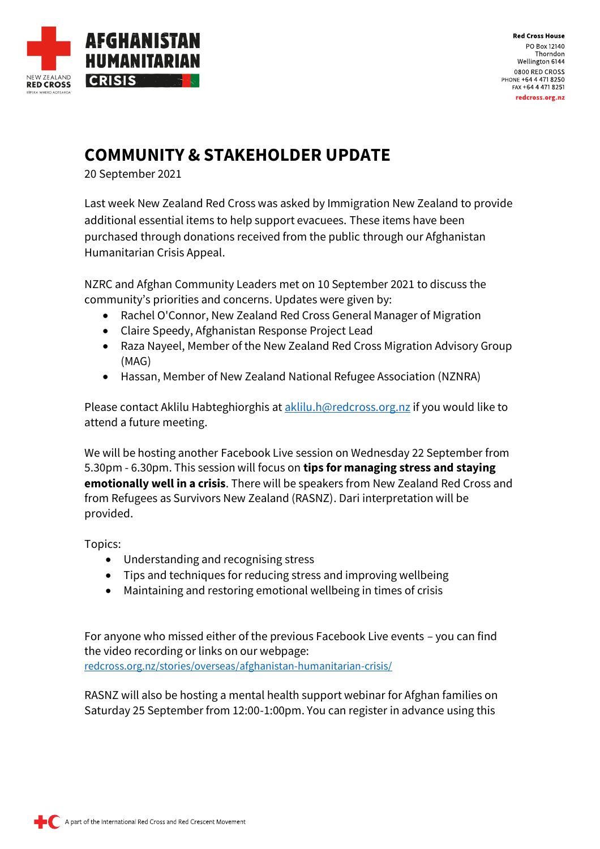

**Red Cross House** PO Box 12140 Thorndon Wellington 6144 0800 RED CROSS PHONE +64 4 471 8250 FAX +64 4 471 8251 redcross.org.nz

## **COMMUNITY & STAKEHOLDER UPDATE**

20 September 2021

Last week New Zealand Red Cross was asked by Immigration New Zealand to provide additional essential items to help support evacuees. These items have been purchased through donations received from the public through our Afghanistan Humanitarian Crisis Appeal.

NZRC and Afghan Community Leaders met on 10 September 2021 to discuss the community's priorities and concerns. Updates were given by:

- Rachel O'Connor, New Zealand Red Cross General Manager of Migration
- Claire Speedy, Afghanistan Response Project Lead
- Raza Nayeel, Member of the New Zealand Red Cross Migration Advisory Group (MAG)
- Hassan, Member of New Zealand National Refugee Association (NZNRA)

Please contact Aklilu Habteghiorghis at [aklilu.h@redcross.org.nz](mailto:aklilu.h@redcross.org.nz) if you would like to attend a future meeting.

We will be hosting another Facebook Live session on Wednesday 22 September from 5.30pm - 6.30pm. This session will focus on **tips for managing stress and staying emotionally well in a crisis**. There will be speakers from New Zealand Red Cross and from Refugees as Survivors New Zealand (RASNZ). Dari interpretation will be provided.

Topics:

- Understanding and recognising stress
- Tips and techniques for reducing stress and improving wellbeing
- Maintaining and restoring emotional wellbeing in times of crisis

For anyone who missed either of the previous Facebook Live events – you can find the video recording or links on our webpage: [redcross.org.nz/stories/overseas/afghanistan-humanitarian-crisis/](https://www.redcross.org.nz/stories/overseas/afghanistan-humanitarian-crisis/)

RASNZ will also be hosting a mental health support webinar for Afghan families on Saturday 25 September from 12:00-1:00pm. You can register in advance using this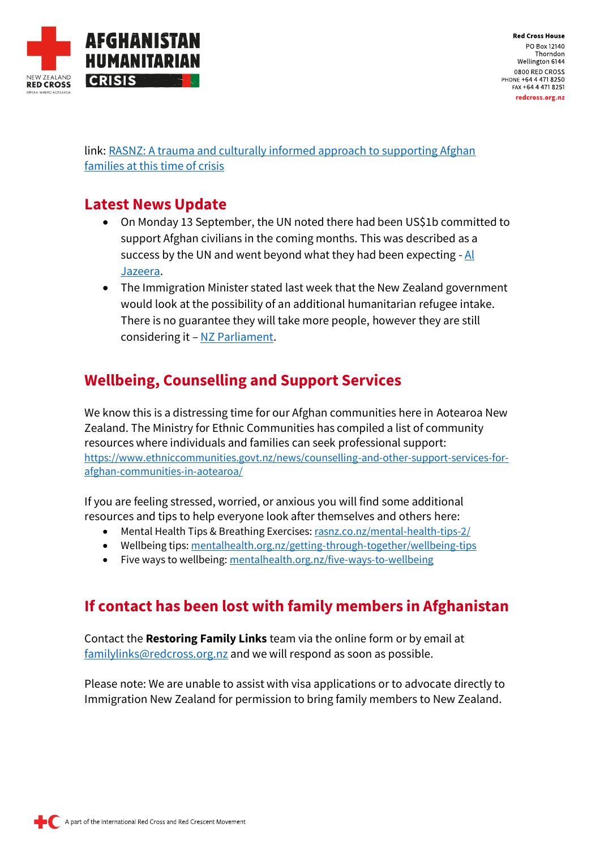

**Red Cross House** PO Box 12140 Thorndon Wellington 6144 0800 RED CROSS PHONE +64 4 471 8250 FAX +64 4 471 8251 redcross.org.nz

link[: RASNZ: A trauma and culturally informed approach to supporting Afghan](https://us02web.zoom.us/webinar/register/WN_ebrN5hnkTXyz0OzxwCjSzg)  [families at this time of crisis](https://us02web.zoom.us/webinar/register/WN_ebrN5hnkTXyz0OzxwCjSzg)

## **Latest News Update**

- On Monday 13 September, the UN noted there had been US\$1b committed to support Afghan civilians in the coming months. This was described as a success by the UN and went beyond what they had been expecting  $-AI$ [Jazeera.](https://www.aljazeera.com/news/2021/9/13/u-n-seeks-600-million-in-afghanistans-most-perilous-hour)
- The Immigration Minister stated last week that the New Zealand government would look at the possibility of an additional humanitarian refugee intake. There is no guarantee they will take more people, however they are still considering it – [NZ Parliament.](https://ondemand.parliament.nz/parliament-tv-on-demand/?itemId=220518)

## **Wellbeing, Counselling and Support Services**

We know this is a distressing time for our Afghan communities here in Aotearoa New Zealand. The Ministry for Ethnic Communities has compiled a list of community resources where individuals and families can seek professional support: [https://www.ethniccommunities.govt.nz/news/counselling-and-other-support-services-for](https://www.ethniccommunities.govt.nz/news/counselling-and-other-support-services-for-afghan-communities-in-aotearoa/)[afghan-communities-in-aotearoa/](https://www.ethniccommunities.govt.nz/news/counselling-and-other-support-services-for-afghan-communities-in-aotearoa/)

If you are feeling stressed, worried, or anxious you will find some additional resources and tips to help everyone look after themselves and others here:

- Mental Health Tips & Breathing Exercises[: rasnz.co.nz/mental-health-tips-2/](https://rasnz.co.nz/mental-health-tips-2/)
- Wellbeing tips[: mentalhealth.org.nz/getting-through-together/wellbeing-tips](https://mentalhealth.org.nz/getting-through-together/wellbeing-tips)
- Five ways to wellbeing[: mentalhealth.org.nz/five-ways-to-wellbeing](https://mentalhealth.org.nz/five-ways-to-wellbeing)

## **If contact has been lost with family members in Afghanistan**

Contact the **Restoring Family Links** team via the online form or by email at [familylinks@redcross.org.nz](mailto:familylinks@redcross.org.nz) and we will respond as soon as possible.

Please note: We are unable to assist with visa applications or to advocate directly to Immigration New Zealand for permission to bring family members to New Zealand.